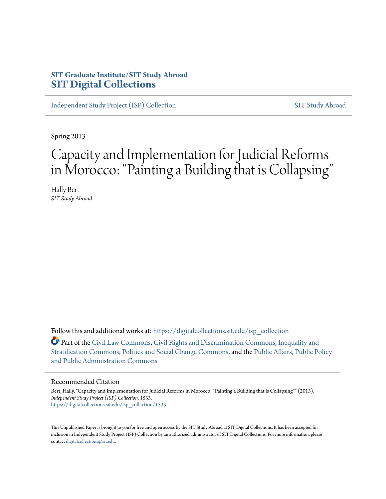# **SIT Graduate Institute/SIT Study Abroad [SIT Digital Collections](https://digitalcollections.sit.edu?utm_source=digitalcollections.sit.edu%2Fisp_collection%2F1533&utm_medium=PDF&utm_campaign=PDFCoverPages)**

[Independent Study Project \(ISP\) Collection](https://digitalcollections.sit.edu/isp_collection?utm_source=digitalcollections.sit.edu%2Fisp_collection%2F1533&utm_medium=PDF&utm_campaign=PDFCoverPages) [SIT Study Abroad](https://digitalcollections.sit.edu/study_abroad?utm_source=digitalcollections.sit.edu%2Fisp_collection%2F1533&utm_medium=PDF&utm_campaign=PDFCoverPages)

Spring 2013

# Capacity and Implementation for Judicial Reforms in Morocco: "Painting a Building that is Collapsing "

Hally Bert *SIT Study Abroad*

Follow this and additional works at: [https://digitalcollections.sit.edu/isp\\_collection](https://digitalcollections.sit.edu/isp_collection?utm_source=digitalcollections.sit.edu%2Fisp_collection%2F1533&utm_medium=PDF&utm_campaign=PDFCoverPages)

Part of the [Civil Law Commons](http://network.bepress.com/hgg/discipline/835?utm_source=digitalcollections.sit.edu%2Fisp_collection%2F1533&utm_medium=PDF&utm_campaign=PDFCoverPages), [Civil Rights and Discrimination Commons,](http://network.bepress.com/hgg/discipline/585?utm_source=digitalcollections.sit.edu%2Fisp_collection%2F1533&utm_medium=PDF&utm_campaign=PDFCoverPages) [Inequality and](http://network.bepress.com/hgg/discipline/421?utm_source=digitalcollections.sit.edu%2Fisp_collection%2F1533&utm_medium=PDF&utm_campaign=PDFCoverPages) [Stratification Commons](http://network.bepress.com/hgg/discipline/421?utm_source=digitalcollections.sit.edu%2Fisp_collection%2F1533&utm_medium=PDF&utm_campaign=PDFCoverPages), [Politics and Social Change Commons](http://network.bepress.com/hgg/discipline/425?utm_source=digitalcollections.sit.edu%2Fisp_collection%2F1533&utm_medium=PDF&utm_campaign=PDFCoverPages), and the [Public Affairs, Public Policy](http://network.bepress.com/hgg/discipline/393?utm_source=digitalcollections.sit.edu%2Fisp_collection%2F1533&utm_medium=PDF&utm_campaign=PDFCoverPages) [and Public Administration Commons](http://network.bepress.com/hgg/discipline/393?utm_source=digitalcollections.sit.edu%2Fisp_collection%2F1533&utm_medium=PDF&utm_campaign=PDFCoverPages)

#### Recommended Citation

Bert, Hally, "Capacity and Implementation for Judicial Reforms in Morocco: "Painting a Building that is Collapsing"" (2013). *Independent Study Project (ISP) Collection*. 1533. [https://digitalcollections.sit.edu/isp\\_collection/1533](https://digitalcollections.sit.edu/isp_collection/1533?utm_source=digitalcollections.sit.edu%2Fisp_collection%2F1533&utm_medium=PDF&utm_campaign=PDFCoverPages)

This Unpublished Paper is brought to you for free and open access by the SIT Study Abroad at SIT Digital Collections. It has been accepted for inclusion in Independent Study Project (ISP) Collection by an authorized administrator of SIT Digital Collections. For more information, please contact [digitalcollections@sit.edu](mailto:digitalcollections@sit.edu).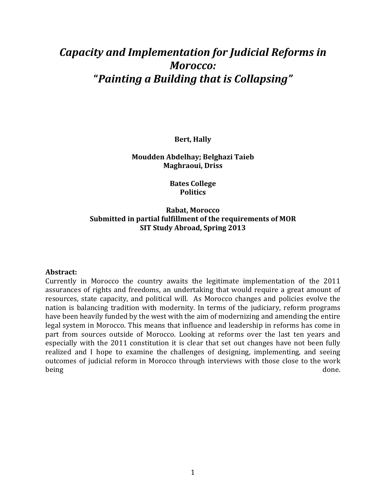# *Capacity and Implementation for Judicial Reforms in Morocco:* **"***Painting(a(Building(that(is(Collapsing"*

**Bert, Hally** 

#### **Moudden'Abdelhay;'Belghazi'Taieb Maghraoui, Driss**

**Bates College Politics**

### **Rabat, Morocco** Submitted in partial fulfillment of the requirements of MOR **SIT Study Abroad, Spring 2013**

#### **Abstract:**

Currently in Morocco the country awaits the legitimate implementation of the 2011 assurances of rights and freedoms, an undertaking that would require a great amount of resources, state capacity, and political will. As Morocco changes and policies evolve the nation is balancing tradition with modernity. In terms of the judiciary, reform programs have been heavily funded by the west with the aim of modernizing and amending the entire legal system in Morocco. This means that influence and leadership in reforms has come in part from sources outside of Morocco. Looking at reforms over the last ten years and especially with the 2011 constitution it is clear that set out changes have not been fully realized and I hope to examine the challenges of designing, implementing, and seeing outcomes of judicial reform in Morocco through interviews with those close to the work being done. The contract of the contract of the contract of the contract of the contract of the contract of the contract of the contract of the contract of the contract of the contract of the contract of the contract of th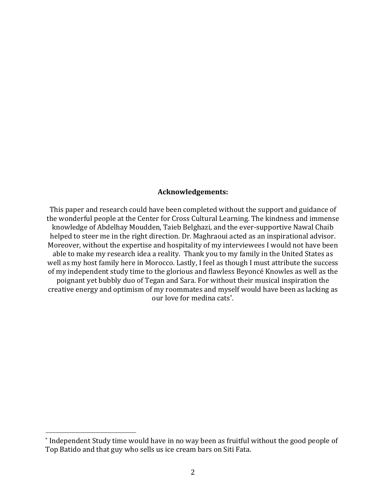#### **Acknowledgements:**

This paper and research could have been completed without the support and guidance of the wonderful people at the Center for Cross Cultural Learning. The kindness and immense knowledge of Abdelhay Moudden, Taieb Belghazi, and the ever-supportive Nawal Chaib helped to steer me in the right direction. Dr. Maghraoui acted as an inspirational advisor. Moreover, without the expertise and hospitality of my interviewees I would not have been able to make my research idea a reality. Thank you to my family in the United States as well as my host family here in Morocco. Lastly, I feel as though I must attribute the success of my independent study time to the glorious and flawless Beyoncé Knowles as well as the poignant yet bubbly duo of Tegan and Sara. For without their musical inspiration the creative energy and optimism of my roommates and myself would have been as lacking as our love for medina cats<sup>\*</sup>.

!!!!!!!!!!!!!!!!!!!!!!!!!!!!!!!!!!!!!!!!!!!!!!!!!!!!!!!

<sup>\*</sup> Independent Study time would have in no way been as fruitful without the good people of Top Batido and that guy who sells us ice cream bars on Siti Fata.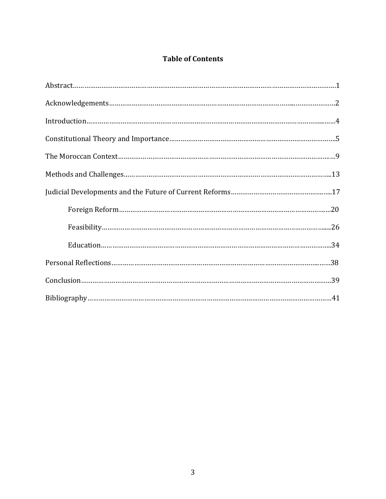# **Table of Contents**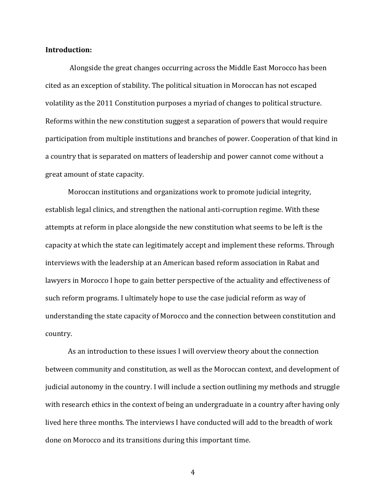#### **Introduction:**

Alongside the great changes occurring across the Middle East Morocco has been cited as an exception of stability. The political situation in Moroccan has not escaped volatility as the 2011 Constitution purposes a myriad of changes to political structure. Reforms within the new constitution suggest a separation of powers that would require participation from multiple institutions and branches of power. Cooperation of that kind in a country that is separated on matters of leadership and power cannot come without a great amount of state capacity.

Moroccan institutions and organizations work to promote judicial integrity, establish legal clinics, and strengthen the national anti-corruption regime. With these attempts at reform in place alongside the new constitution what seems to be left is the capacity at which the state can legitimately accept and implement these reforms. Through interviews with the leadership at an American based reform association in Rabat and lawyers in Morocco I hope to gain better perspective of the actuality and effectiveness of such reform programs. I ultimately hope to use the case judicial reform as way of understanding the state capacity of Morocco and the connection between constitution and country.

As an introduction to these issues I will overview theory about the connection between community and constitution, as well as the Moroccan context, and development of judicial autonomy in the country. I will include a section outlining my methods and struggle with research ethics in the context of being an undergraduate in a country after having only lived here three months. The interviews I have conducted will add to the breadth of work done on Morocco and its transitions during this important time.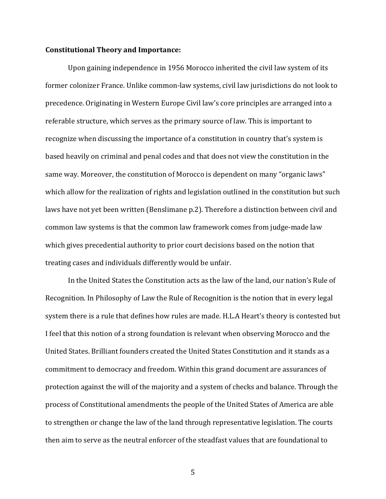#### **Constitutional'Theory'and'Importance:'**

Upon gaining independence in 1956 Morocco inherited the civil law system of its former colonizer France. Unlike common-law systems, civil law jurisdictions do not look to precedence. Originating in Western Europe Civil law's core principles are arranged into a referable structure, which serves as the primary source of law. This is important to recognize when discussing the importance of a constitution in country that's system is based heavily on criminal and penal codes and that does not view the constitution in the same way. Moreover, the constitution of Morocco is dependent on many "organic laws" which allow for the realization of rights and legislation outlined in the constitution but such laws have not yet been written (Benslimane p.2). Therefore a distinction between civil and common law systems is that the common law framework comes from judge-made law which gives precedential authority to prior court decisions based on the notion that treating cases and individuals differently would be unfair.

In the United States the Constitution acts as the law of the land, our nation's Rule of Recognition. In Philosophy of Law the Rule of Recognition is the notion that in every legal system there is a rule that defines how rules are made. H.L.A Heart's theory is contested but I feel that this notion of a strong foundation is relevant when observing Morocco and the United States. Brilliant founders created the United States Constitution and it stands as a commitment to democracy and freedom. Within this grand document are assurances of protection against the will of the majority and a system of checks and balance. Through the process of Constitutional amendments the people of the United States of America are able to strengthen or change the law of the land through representative legislation. The courts then aim to serve as the neutral enforcer of the steadfast values that are foundational to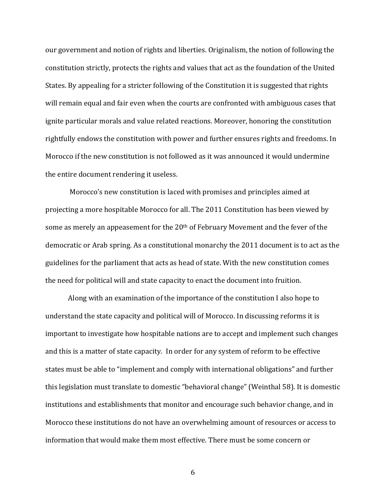our government and notion of rights and liberties. Originalism, the notion of following the constitution strictly, protects the rights and values that act as the foundation of the United States. By appealing for a stricter following of the Constitution it is suggested that rights will remain equal and fair even when the courts are confronted with ambiguous cases that ignite particular morals and value related reactions. Moreover, honoring the constitution rightfully endows the constitution with power and further ensures rights and freedoms. In Morocco if the new constitution is not followed as it was announced it would undermine the entire document rendering it useless.

Morocco's new constitution is laced with promises and principles aimed at projecting a more hospitable Morocco for all. The 2011 Constitution has been viewed by some as merely an appeasement for the 20<sup>th</sup> of February Movement and the fever of the democratic or Arab spring. As a constitutional monarchy the 2011 document is to act as the guidelines for the parliament that acts as head of state. With the new constitution comes the need for political will and state capacity to enact the document into fruition.

Along with an examination of the importance of the constitution I also hope to understand the state capacity and political will of Morocco. In discussing reforms it is important to investigate how hospitable nations are to accept and implement such changes and this is a matter of state capacity. In order for any system of reform to be effective states must be able to "implement and comply with international obligations" and further this legislation must translate to domestic "behavioral change" (Weinthal 58). It is domestic institutions and establishments that monitor and encourage such behavior change, and in Morocco these institutions do not have an overwhelming amount of resources or access to information that would make them most effective. There must be some concern or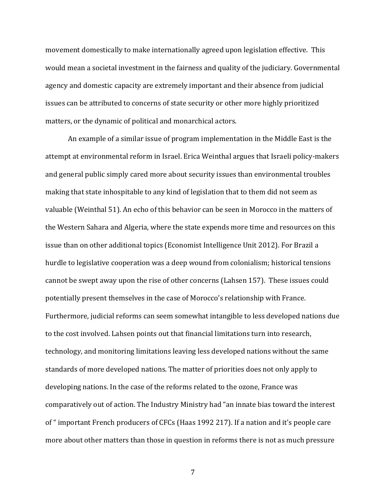movement domestically to make internationally agreed upon legislation effective. This would mean a societal investment in the fairness and quality of the judiciary. Governmental agency and domestic capacity are extremely important and their absence from judicial issues can be attributed to concerns of state security or other more highly prioritized matters, or the dynamic of political and monarchical actors.

An example of a similar issue of program implementation in the Middle East is the attempt at environmental reform in Israel. Erica Weinthal argues that Israeli policy-makers and general public simply cared more about security issues than environmental troubles making that state inhospitable to any kind of legislation that to them did not seem as valuable (Weinthal 51). An echo of this behavior can be seen in Morocco in the matters of the Western Sahara and Algeria, where the state expends more time and resources on this issue than on other additional topics (Economist Intelligence Unit 2012). For Brazil a hurdle to legislative cooperation was a deep wound from colonialism; historical tensions cannot be swept away upon the rise of other concerns (Lahsen 157). These issues could potentially present themselves in the case of Morocco's relationship with France. Furthermore, judicial reforms can seem somewhat intangible to less developed nations due to the cost involved. Lahsen points out that financial limitations turn into research, technology, and monitoring limitations leaving less developed nations without the same standards of more developed nations. The matter of priorities does not only apply to developing nations. In the case of the reforms related to the ozone, France was comparatively out of action. The Industry Ministry had "an innate bias toward the interest of " important French producers of CFCs (Haas 1992 217). If a nation and it's people care more about other matters than those in question in reforms there is not as much pressure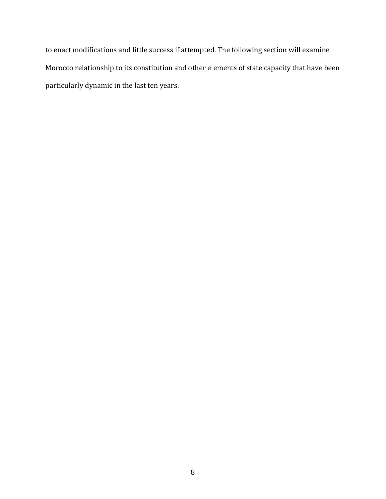to enact modifications and little success if attempted. The following section will examine Morocco relationship to its constitution and other elements of state capacity that have been particularly dynamic in the last ten years.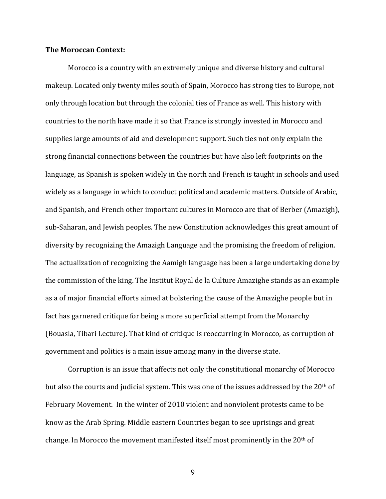#### **The'Moroccan'Context:**

Morocco is a country with an extremely unique and diverse history and cultural makeup. Located only twenty miles south of Spain, Morocco has strong ties to Europe, not only through location but through the colonial ties of France as well. This history with countries to the north have made it so that France is strongly invested in Morocco and supplies large amounts of aid and development support. Such ties not only explain the strong financial connections between the countries but have also left footprints on the language, as Spanish is spoken widely in the north and French is taught in schools and used widely as a language in which to conduct political and academic matters. Outside of Arabic, and Spanish, and French other important cultures in Morocco are that of Berber (Amazigh), sub-Saharan, and Jewish peoples. The new Constitution acknowledges this great amount of diversity by recognizing the Amazigh Language and the promising the freedom of religion. The actualization of recognizing the Aamigh language has been a large undertaking done by the commission of the king. The Institut Royal de la Culture Amazighe stands as an example as a of major financial efforts aimed at bolstering the cause of the Amazighe people but in fact has garnered critique for being a more superficial attempt from the Monarchy (Bouasla, Tibari Lecture). That kind of critique is reoccurring in Morocco, as corruption of government and politics is a main issue among many in the diverse state.

Corruption is an issue that affects not only the constitutional monarchy of Morocco but also the courts and judicial system. This was one of the issues addressed by the  $20<sup>th</sup>$  of February Movement. In the winter of 2010 violent and nonviolent protests came to be know as the Arab Spring. Middle eastern Countries began to see uprisings and great change. In Morocco the movement manifested itself most prominently in the  $20<sup>th</sup>$  of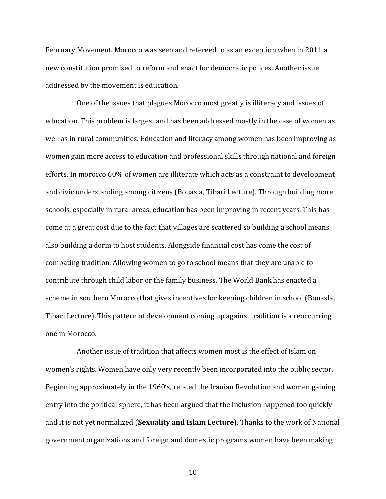February Movement. Morocco was seen and refereed to as an exception when in 2011 a new constitution promised to reform and enact for democratic polices. Another issue addressed by the movement is education.

One of the issues that plagues Morocco most greatly is illiteracy and issues of education. This problem is largest and has been addressed mostly in the case of women as well as in rural communities. Education and literacy among women has been improving as women gain more access to education and professional skills through national and foreign efforts. In morocco 60% of women are illiterate which acts as a constraint to development and civic understanding among citizens (Bouasla, Tibari Lecture). Through building more schools, especially in rural areas, education has been improving in recent years. This has come at a great cost due to the fact that villages are scattered so building a school means also building a dorm to host students. Alongside financial cost has come the cost of combating tradition. Allowing women to go to school means that they are unable to contribute through child labor or the family business. The World Bank has enacted a scheme in southern Morocco that gives incentives for keeping children in school (Bouasla, Tibari Lecture). This pattern of development coming up against tradition is a reoccurring one in Morocco.

Another issue of tradition that affects women most is the effect of Islam on women's rights. Women have only very recently been incorporated into the public sector. Beginning approximately in the 1960's, related the Iranian Revolution and women gaining entry into the political sphere, it has been argued that the inclusion happened too quickly and it is not yet normalized (Sexuality and Islam Lecture). Thanks to the work of National government organizations and foreign and domestic programs women have been making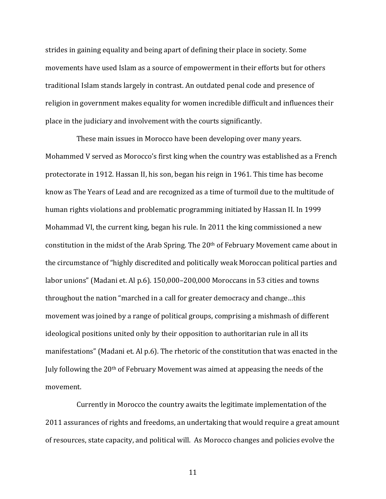strides in gaining equality and being apart of defining their place in society. Some movements have used Islam as a source of empowerment in their efforts but for others traditional Islam stands largely in contrast. An outdated penal code and presence of religion in government makes equality for women incredible difficult and influences their place in the judiciary and involvement with the courts significantly.

These main issues in Morocco have been developing over many years. Mohammed V served as Morocco's first king when the country was established as a French protectorate in 1912. Hassan II, his son, began his reign in 1961. This time has become know as The Years of Lead and are recognized as a time of turmoil due to the multitude of human rights violations and problematic programming initiated by Hassan II. In 1999 Mohammad VI, the current king, began his rule. In 2011 the king commissioned a new constitution in the midst of the Arab Spring. The 20<sup>th</sup> of February Movement came about in the circumstance of "highly discredited and politically weak Moroccan political parties and labor unions" (Madani et. Al p.6). 150,000–200,000 Moroccans in 53 cities and towns throughout the nation "marched in a call for greater democracy and change...this movement was joined by a range of political groups, comprising a mishmash of different ideological positions united only by their opposition to authoritarian rule in all its manifestations" (Madani et. Al p.6). The rhetoric of the constitution that was enacted in the July following the 20<sup>th</sup> of February Movement was aimed at appeasing the needs of the movement.!

Currently in Morocco the country awaits the legitimate implementation of the 2011 assurances of rights and freedoms, an undertaking that would require a great amount of resources, state capacity, and political will. As Morocco changes and policies evolve the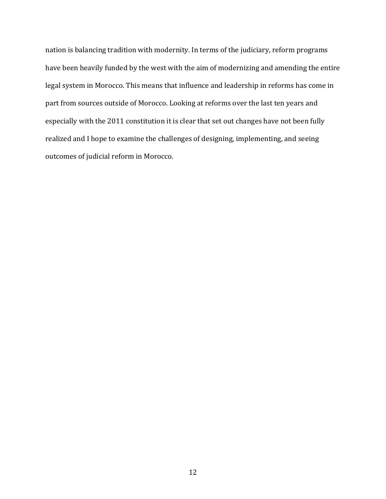nation is balancing tradition with modernity. In terms of the judiciary, reform programs have been heavily funded by the west with the aim of modernizing and amending the entire legal system in Morocco. This means that influence and leadership in reforms has come in part from sources outside of Morocco. Looking at reforms over the last ten years and especially with the 2011 constitution it is clear that set out changes have not been fully realized and I hope to examine the challenges of designing, implementing, and seeing outcomes of judicial reform in Morocco.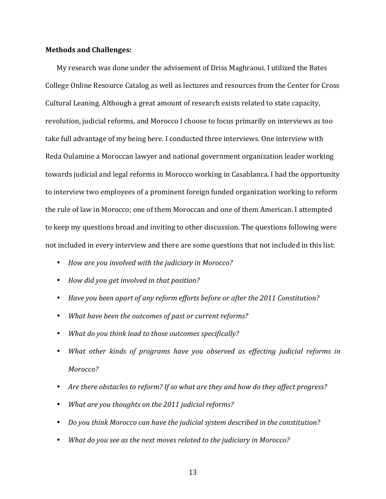#### **Methods'and'Challenges:**

My research was done under the advisement of Driss Maghraoui. I utilized the Bates College Online Resource Catalog as well as lectures and resources from the Center for Cross Cultural Leaning. Although a great amount of research exists related to state capacity, revolution, judicial reforms, and Morocco I choose to focus primarily on interviews as too take full advantage of my being here. I conducted three interviews. One interview with Reda Oulamine a Moroccan lawyer and national government organization leader working towards judicial and legal reforms in Morocco working in Casablanca. I had the opportunity to interview two employees of a prominent foreign funded organization working to reform the rule of law in Morocco; one of them Moroccan and one of them American. I attempted to keep my questions broad and inviting to other discussion. The questions following were not included in every interview and there are some questions that not included in this list:

- How are you involved with the judiciary in Morocco?
- How did you get involved in that position?
- Have you been apart of any reform efforts before or after the 2011 Constitution?
- *What have been the outcomes of past or current reforms?*
- What do you think lead to those outcomes specifically?
- *What other kinds of programs have you observed as effecting judicial reforms in Morocco?*
- Are there obstacles to reform? If so what are they and how do they affect progress?
- *What are you thoughts on the 2011 judicial reforms?*
- *Do you think Morocco can have the judicial system described in the constitution?*
- *What do you see as the next moves related to the judiciary in Morocco?*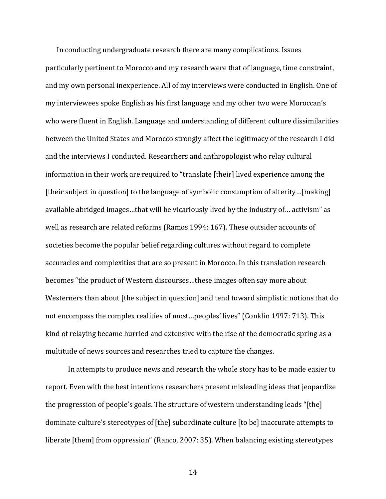In conducting undergraduate research there are many complications. Issues particularly pertinent to Morocco and my research were that of language, time constraint, and my own personal inexperience. All of my interviews were conducted in English. One of my interviewees spoke English as his first language and my other two were Moroccan's who were fluent in English. Language and understanding of different culture dissimilarities between the United States and Morocco strongly affect the legitimacy of the research I did and the interviews I conducted. Researchers and anthropologist who relay cultural information in their work are required to "translate [their] lived experience among the [their subject in question] to the language of symbolic consumption of alterity…[making] available abridged images...that will be vicariously lived by the industry of... activism" as well as research are related reforms (Ramos 1994: 167). These outsider accounts of societies become the popular belief regarding cultures without regard to complete accuracies and complexities that are so present in Morocco. In this translation research becomes "the product of Western discourses...these images often say more about Westerners than about [the subject in question] and tend toward simplistic notions that do not encompass the complex realities of most...peoples' lives" (Conklin 1997: 713). This kind of relaying became hurried and extensive with the rise of the democratic spring as a multitude of news sources and researches tried to capture the changes.

In attempts to produce news and research the whole story has to be made easier to report. Even with the best intentions researchers present misleading ideas that jeopardize the progression of people's goals. The structure of western understanding leads "[the] dominate culture's stereotypes of [the] subordinate culture [to be] inaccurate attempts to liberate [them] from oppression" (Ranco, 2007: 35). When balancing existing stereotypes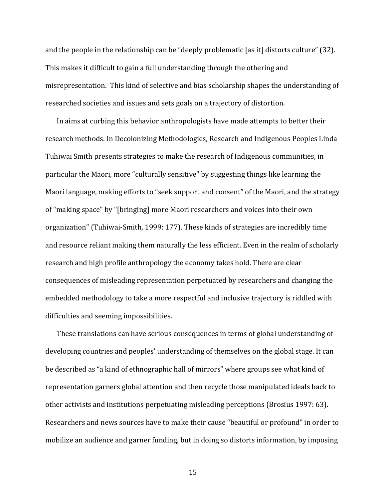and the people in the relationship can be "deeply problematic [as it] distorts culture" (32). This makes it difficult to gain a full understanding through the othering and misrepresentation. This kind of selective and bias scholarship shapes the understanding of researched societies and issues and sets goals on a trajectory of distortion.

In aims at curbing this behavior anthropologists have made attempts to better their research methods. In Decolonizing Methodologies, Research and Indigenous Peoples Linda Tuhiwai Smith presents strategies to make the research of Indigenous communities, in particular the Maori, more "culturally sensitive" by suggesting things like learning the Maori language, making efforts to "seek support and consent" of the Maori, and the strategy of "making space" by "[bringing] more Maori researchers and voices into their own organization" (Tuhiwai-Smith, 1999: 177). These kinds of strategies are incredibly time and resource reliant making them naturally the less efficient. Even in the realm of scholarly research and high profile anthropology the economy takes hold. There are clear consequences of misleading representation perpetuated by researchers and changing the embedded methodology to take a more respectful and inclusive trajectory is riddled with difficulties and seeming impossibilities.

These translations can have serious consequences in terms of global understanding of developing countries and peoples' understanding of themselves on the global stage. It can be described as "a kind of ethnographic hall of mirrors" where groups see what kind of representation garners global attention and then recycle those manipulated ideals back to other activists and institutions perpetuating misleading perceptions (Brosius 1997: 63). Researchers and news sources have to make their cause "beautiful or profound" in order to mobilize an audience and garner funding, but in doing so distorts information, by imposing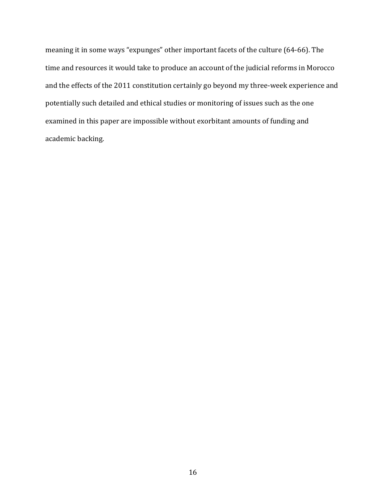meaning it in some ways "expunges" other important facets of the culture (64-66). The time and resources it would take to produce an account of the judicial reforms in Morocco and the effects of the 2011 constitution certainly go beyond my three-week experience and potentially such detailed and ethical studies or monitoring of issues such as the one examined in this paper are impossible without exorbitant amounts of funding and academic backing.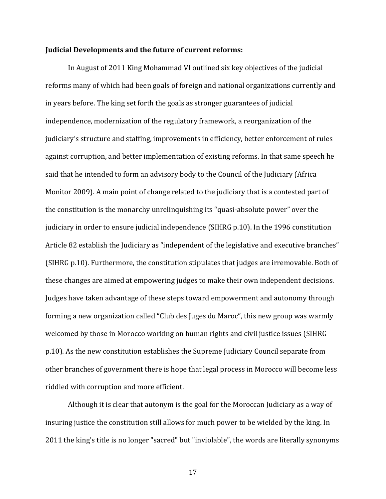#### **Judicial'Developments'and'the'future'of'current'reforms:'**

In August of 2011 King Mohammad VI outlined six key objectives of the judicial reforms many of which had been goals of foreign and national organizations currently and in years before. The king set forth the goals as stronger guarantees of judicial independence, modernization of the regulatory framework, a reorganization of the judiciary's structure and staffing, improvements in efficiency, better enforcement of rules against corruption, and better implementation of existing reforms. In that same speech he said that he intended to form an advisory body to the Council of the Judiciary (Africa Monitor 2009). A main point of change related to the judiciary that is a contested part of the constitution is the monarchy unrelinguishing its "quasi-absolute power" over the judiciary in order to ensure judicial independence (SIHRG p.10). In the 1996 constitution Article 82 establish the Judiciary as "independent of the legislative and executive branches" (SIHRG p.10). Furthermore, the constitution stipulates that judges are irremovable. Both of these changes are aimed at empowering judges to make their own independent decisions. Judges have taken advantage of these steps toward empowerment and autonomy through forming a new organization called "Club des Juges du Maroc", this new group was warmly welcomed by those in Morocco working on human rights and civil justice issues (SIHRG) p.10). As the new constitution establishes the Supreme Judiciary Council separate from other branches of government there is hope that legal process in Morocco will become less riddled with corruption and more efficient.

Although it is clear that autonym is the goal for the Moroccan Judiciary as a way of insuring justice the constitution still allows for much power to be wielded by the king. In 2011 the king's title is no longer "sacred" but "inviolable", the words are literally synonyms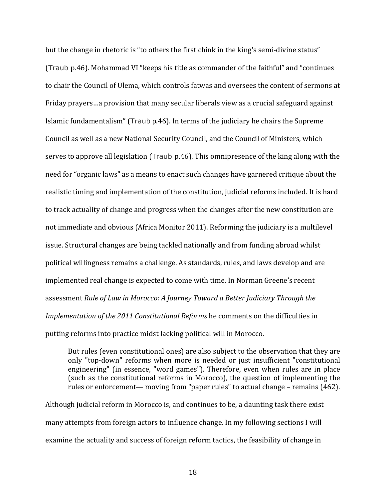but the change in rhetoric is "to others the first chink in the king's semi-divine status" (Traub p.46). Mohammad VI "keeps his title as commander of the faithful" and "continues" to chair the Council of Ulema, which controls fatwas and oversees the content of sermons at Friday prayers…a provision that many secular liberals view as a crucial safeguard against Islamic fundamentalism" (Traub p.46). In terms of the judiciary he chairs the Supreme Council as well as a new National Security Council, and the Council of Ministers, which serves to approve all legislation (Traub p.46). This omnipresence of the king along with the need for "organic laws" as a means to enact such changes have garnered critique about the realistic timing and implementation of the constitution, judicial reforms included. It is hard to track actuality of change and progress when the changes after the new constitution are not immediate and obvious (Africa Monitor 2011). Reforming the judiciary is a multilevel issue. Structural changes are being tackled nationally and from funding abroad whilst political willingness remains a challenge. As standards, rules, and laws develop and are implemented real change is expected to come with time. In Norman Greene's recent assessment *Rule of Law in Morocco: A Journey Toward a Better Judiciary Through the Implementation of the 2011 Constitutional Reforms* he comments on the difficulties in putting reforms into practice midst lacking political will in Morocco.

But rules (even constitutional ones) are also subject to the observation that they are only "top-down" reforms when more is needed or just insufficient "constitutional engineering" (in essence, "word games"). Therefore, even when rules are in place (such as the constitutional reforms in Morocco), the question of implementing the rules or enforcement— moving from "paper rules" to actual change – remains (462).

Although judicial reform in Morocco is, and continues to be, a daunting task there exist many attempts from foreign actors to influence change. In my following sections I will examine the actuality and success of foreign reform tactics, the feasibility of change in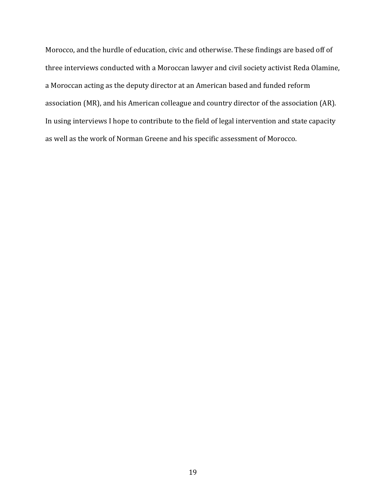Morocco, and the hurdle of education, civic and otherwise. These findings are based off of three interviews conducted with a Moroccan lawyer and civil society activist Reda Olamine, a Moroccan acting as the deputy director at an American based and funded reform association (MR), and his American colleague and country director of the association (AR). In using interviews I hope to contribute to the field of legal intervention and state capacity as well as the work of Norman Greene and his specific assessment of Morocco.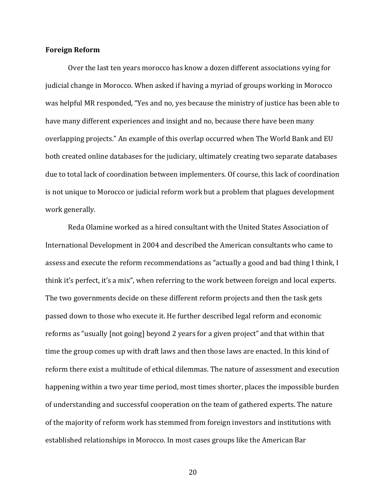#### **Foreign'Reform**

Over the last ten years morocco has know a dozen different associations vying for judicial change in Morocco. When asked if having a myriad of groups working in Morocco was helpful MR responded, "Yes and no, yes because the ministry of justice has been able to have many different experiences and insight and no, because there have been many overlapping projects." An example of this overlap occurred when The World Bank and EU both created online databases for the judiciary, ultimately creating two separate databases due to total lack of coordination between implementers. Of course, this lack of coordination is not unique to Morocco or judicial reform work but a problem that plagues development work generally.

Reda Olamine worked as a hired consultant with the United States Association of International Development in 2004 and described the American consultants who came to assess and execute the reform recommendations as "actually a good and bad thing I think, I think it's perfect, it's a mix", when referring to the work between foreign and local experts. The two governments decide on these different reform projects and then the task gets passed down to those who execute it. He further described legal reform and economic reforms as "usually [not going] beyond 2 years for a given project" and that within that time the group comes up with draft laws and then those laws are enacted. In this kind of reform there exist a multitude of ethical dilemmas. The nature of assessment and execution happening within a two year time period, most times shorter, places the impossible burden of understanding and successful cooperation on the team of gathered experts. The nature of the majority of reform work has stemmed from foreign investors and institutions with established relationships in Morocco. In most cases groups like the American Bar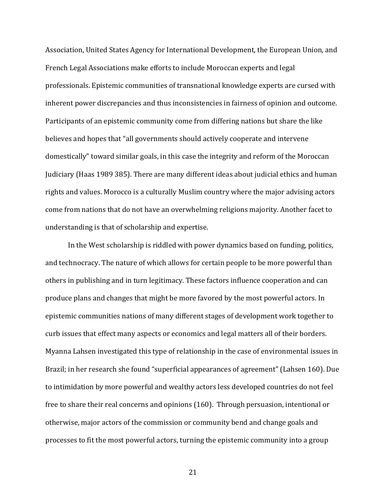Association, United States Agency for International Development, the European Union, and French Legal Associations make efforts to include Moroccan experts and legal professionals. Epistemic communities of transnational knowledge experts are cursed with inherent power discrepancies and thus inconsistencies in fairness of opinion and outcome. Participants of an epistemic community come from differing nations but share the like believes and hopes that "all governments should actively cooperate and intervene domestically" toward similar goals, in this case the integrity and reform of the Moroccan Judiciary (Haas 1989 385). There are many different ideas about judicial ethics and human rights and values. Morocco is a culturally Muslim country where the major advising actors come from nations that do not have an overwhelming religions majority. Another facet to understanding is that of scholarship and expertise.

In the West scholarship is riddled with power dynamics based on funding, politics, and technocracy. The nature of which allows for certain people to be more powerful than others in publishing and in turn legitimacy. These factors influence cooperation and can produce plans and changes that might be more favored by the most powerful actors. In epistemic communities nations of many different stages of development work together to curb issues that effect many aspects or economics and legal matters all of their borders. Myanna Lahsen investigated this type of relationship in the case of environmental issues in Brazil; in her research she found "superficial appearances of agreement" (Lahsen 160). Due to intimidation by more powerful and wealthy actors less developed countries do not feel free to share their real concerns and opinions  $(160)$ . Through persuasion, intentional or otherwise, major actors of the commission or community bend and change goals and processes to fit the most powerful actors, turning the epistemic community into a group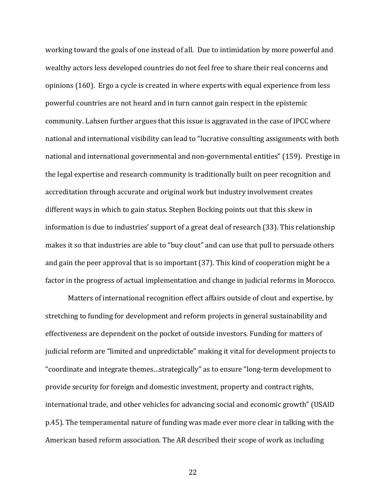working toward the goals of one instead of all. Due to intimidation by more powerful and wealthy actors less developed countries do not feel free to share their real concerns and opinions (160). Ergo a cycle is created in where experts with equal experience from less powerful countries are not heard and in turn cannot gain respect in the epistemic community. Lahsen further argues that this issue is aggravated in the case of IPCC where national and international visibility can lead to "lucrative consulting assignments with both national and international governmental and non-governmental entities" (159). Prestige in the legal expertise and research community is traditionally built on peer recognition and accreditation through accurate and original work but industry involvement creates different ways in which to gain status. Stephen Bocking points out that this skew in information is due to industries' support of a great deal of research (33). This relationship makes it so that industries are able to "buy clout" and can use that pull to persuade others and gain the peer approval that is so important (37). This kind of cooperation might be a factor in the progress of actual implementation and change in judicial reforms in Morocco.

Matters of international recognition effect affairs outside of clout and expertise, by stretching to funding for development and reform projects in general sustainability and effectiveness are dependent on the pocket of outside investors. Funding for matters of judicial reform are "limited and unpredictable" making it vital for development projects to "coordinate and integrate themes...strategically" as to ensure "long-term development to provide security for foreign and domestic investment, property and contract rights, international trade, and other vehicles for advancing social and economic growth" (USAID p.45). The temperamental nature of funding was made ever more clear in talking with the American based reform association. The AR described their scope of work as including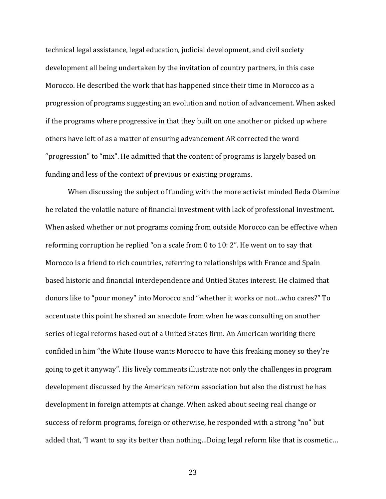technical legal assistance, legal education, judicial development, and civil society development all being undertaken by the invitation of country partners, in this case Morocco. He described the work that has happened since their time in Morocco as a progression of programs suggesting an evolution and notion of advancement. When asked if the programs where progressive in that they built on one another or picked up where others have left of as a matter of ensuring advancement AR corrected the word "progression" to "mix". He admitted that the content of programs is largely based on funding and less of the context of previous or existing programs.

When discussing the subject of funding with the more activist minded Reda Olamine he related the volatile nature of financial investment with lack of professional investment. When asked whether or not programs coming from outside Morocco can be effective when reforming corruption he replied "on a scale from 0 to 10: 2". He went on to say that Morocco is a friend to rich countries, referring to relationships with France and Spain based historic and financial interdependence and Untied States interest. He claimed that donors like to "pour money" into Morocco and "whether it works or not...who cares?" To accentuate this point he shared an anecdote from when he was consulting on another series of legal reforms based out of a United States firm. An American working there confided in him "the White House wants Morocco to have this freaking money so they're going to get it anyway". His lively comments illustrate not only the challenges in program development discussed by the American reform association but also the distrust he has development in foreign attempts at change. When asked about seeing real change or success of reform programs, foreign or otherwise, he responded with a strong "no" but added that, "I want to say its better than nothing...Doing legal reform like that is cosmetic...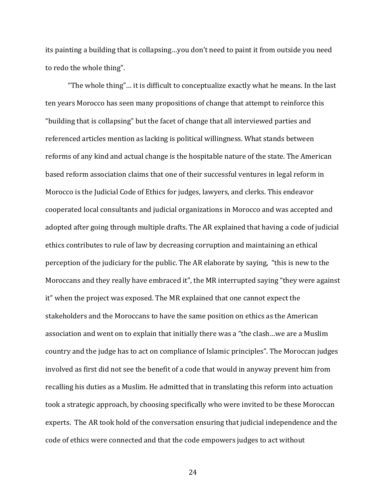its painting a building that is collapsing...you don't need to paint it from outside you need to redo the whole thing".

"The whole thing"... it is difficult to conceptualize exactly what he means. In the last ten years Morocco has seen many propositions of change that attempt to reinforce this "building that is collapsing" but the facet of change that all interviewed parties and referenced articles mention as lacking is political willingness. What stands between reforms of any kind and actual change is the hospitable nature of the state. The American based reform association claims that one of their successful ventures in legal reform in Morocco is the Judicial Code of Ethics for judges, lawyers, and clerks. This endeavor cooperated local consultants and judicial organizations in Morocco and was accepted and adopted after going through multiple drafts. The AR explained that having a code of judicial ethics contributes to rule of law by decreasing corruption and maintaining an ethical perception of the judiciary for the public. The AR elaborate by saying, "this is new to the Moroccans and they really have embraced it", the MR interrupted saying "they were against it" when the project was exposed. The MR explained that one cannot expect the stakeholders and the Moroccans to have the same position on ethics as the American association and went on to explain that initially there was a "the clash...we are a Muslim country and the judge has to act on compliance of Islamic principles". The Moroccan judges involved as first did not see the benefit of a code that would in anyway prevent him from recalling his duties as a Muslim. He admitted that in translating this reform into actuation took a strategic approach, by choosing specifically who were invited to be these Moroccan experts. The AR took hold of the conversation ensuring that judicial independence and the code of ethics were connected and that the code empowers judges to act without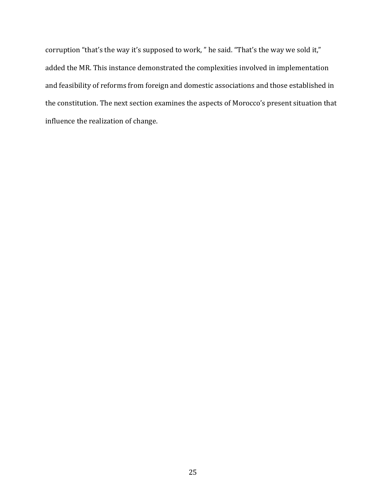corruption "that's the way it's supposed to work, " he said. "That's the way we sold it," added the MR. This instance demonstrated the complexities involved in implementation and feasibility of reforms from foreign and domestic associations and those established in the constitution. The next section examines the aspects of Morocco's present situation that influence the realization of change.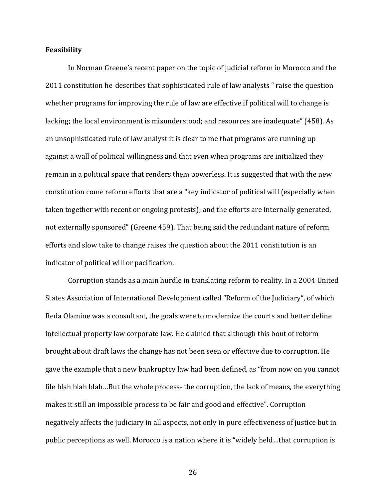#### **Feasibility'**

In Norman Greene's recent paper on the topic of judicial reform in Morocco and the 2011 constitution he describes that sophisticated rule of law analysts " raise the question whether programs for improving the rule of law are effective if political will to change is lacking; the local environment is misunderstood; and resources are inadequate" (458). As an unsophisticated rule of law analyst it is clear to me that programs are running up against a wall of political willingness and that even when programs are initialized they remain in a political space that renders them powerless. It is suggested that with the new constitution come reform efforts that are a "key indicator of political will (especially when taken together with recent or ongoing protests); and the efforts are internally generated, not externally sponsored" (Greene 459). That being said the redundant nature of reform efforts and slow take to change raises the question about the  $2011$  constitution is an indicator of political will or pacification.

Corruption stands as a main hurdle in translating reform to reality. In a 2004 United States Association of International Development called "Reform of the Judiciary", of which Reda Olamine was a consultant, the goals were to modernize the courts and better define intellectual property law corporate law. He claimed that although this bout of reform brought about draft laws the change has not been seen or effective due to corruption. He gave the example that a new bankruptcy law had been defined, as "from now on you cannot file blah blah blah…But the whole process- the corruption, the lack of means, the everything makes it still an impossible process to be fair and good and effective". Corruption negatively affects the judiciary in all aspects, not only in pure effectiveness of justice but in public perceptions as well. Morocco is a nation where it is "widely held...that corruption is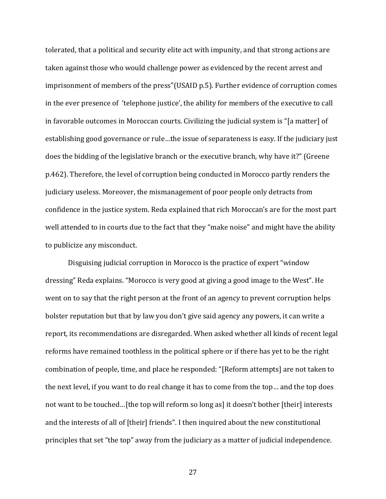tolerated, that a political and security elite act with impunity, and that strong actions are taken against those who would challenge power as evidenced by the recent arrest and imprisonment of members of the press"(USAID p.5). Further evidence of corruption comes in the ever presence of 'telephone justice', the ability for members of the executive to call in favorable outcomes in Moroccan courts. Civilizing the judicial system is "[a matter] of establishing good governance or rule...the issue of separateness is easy. If the judiciary just does the bidding of the legislative branch or the executive branch, why have it?" (Greene p.462). Therefore, the level of corruption being conducted in Morocco partly renders the judiciary useless. Moreover, the mismanagement of poor people only detracts from confidence in the justice system. Reda explained that rich Moroccan's are for the most part well attended to in courts due to the fact that they "make noise" and might have the ability to publicize any misconduct.

Disguising judicial corruption in Morocco is the practice of expert "window" dressing" Reda explains. "Morocco is very good at giving a good image to the West". He went on to say that the right person at the front of an agency to prevent corruption helps bolster reputation but that by law you don't give said agency any powers, it can write a report, its recommendations are disregarded. When asked whether all kinds of recent legal reforms have remained toothless in the political sphere or if there has yet to be the right combination of people, time, and place he responded: "[Reform attempts] are not taken to the next level, if you want to do real change it has to come from the top… and the top does not want to be touched...[the top will reform so long as] it doesn't bother [their] interests and the interests of all of [their] friends". I then inquired about the new constitutional principles that set "the top" away from the judiciary as a matter of judicial independence.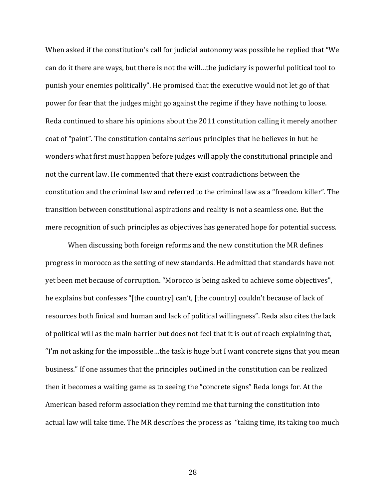When asked if the constitution's call for judicial autonomy was possible he replied that "We can do it there are ways, but there is not the will...the judiciary is powerful political tool to punish your enemies politically". He promised that the executive would not let go of that power for fear that the judges might go against the regime if they have nothing to loose. Reda continued to share his opinions about the 2011 constitution calling it merely another coat of "paint". The constitution contains serious principles that he believes in but he wonders what first must happen before judges will apply the constitutional principle and not the current law. He commented that there exist contradictions between the constitution and the criminal law and referred to the criminal law as a "freedom killer". The transition between constitutional aspirations and reality is not a seamless one. But the mere recognition of such principles as objectives has generated hope for potential success.

When discussing both foreign reforms and the new constitution the MR defines progress in morocco as the setting of new standards. He admitted that standards have not yet been met because of corruption. "Morocco is being asked to achieve some objectives", he explains but confesses "[the country] can't, [the country] couldn't because of lack of resources both finical and human and lack of political willingness". Reda also cites the lack of political will as the main barrier but does not feel that it is out of reach explaining that, "I'm not asking for the impossible...the task is huge but I want concrete signs that you mean business." If one assumes that the principles outlined in the constitution can be realized then it becomes a waiting game as to seeing the "concrete signs" Reda longs for. At the American based reform association they remind me that turning the constitution into actual law will take time. The MR describes the process as "taking time, its taking too much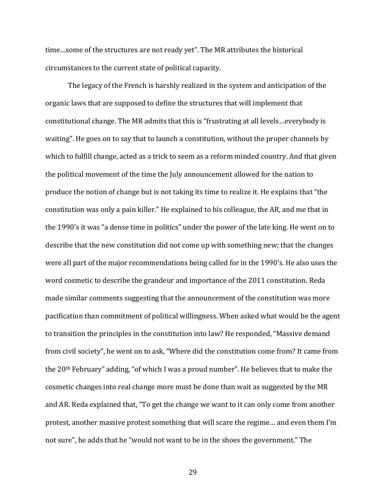time...some of the structures are not ready yet". The MR attributes the historical circumstances to the current state of political capacity.

The legacy of the French is harshly realized in the system and anticipation of the organic laws that are supposed to define the structures that will implement that constitutional change. The MR admits that this is "frustrating at all levels...everybody is waiting". He goes on to say that to launch a constitution, without the proper channels by which to fulfill change, acted as a trick to seem as a reform minded country. And that given the political movement of the time the July announcement allowed for the nation to produce the notion of change but is not taking its time to realize it. He explains that "the constitution was only a pain killer." He explained to his colleague, the AR, and me that in the 1990's it was "a dense time in politics" under the power of the late king. He went on to describe that the new constitution did not come up with something new; that the changes were all part of the major recommendations being called for in the 1990's. He also uses the word cosmetic to describe the grandeur and importance of the 2011 constitution. Reda made similar comments suggesting that the announcement of the constitution was more pacification than commitment of political willingness. When asked what would be the agent to transition the principles in the constitution into law? He responded, "Massive demand from civil society", he went on to ask, "Where did the constitution come from? It came from the  $20<sup>th</sup>$  February" adding, "of which I was a proud number". He believes that to make the cosmetic changes into real change more must be done than wait as suggested by the MR and AR. Reda explained that, "To get the change we want to it can only come from another protest, another massive protest something that will scare the regime... and even them I'm not sure", he adds that he "would not want to be in the shoes the government." The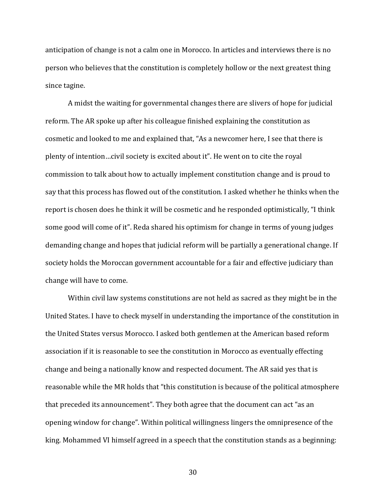anticipation of change is not a calm one in Morocco. In articles and interviews there is no person who believes that the constitution is completely hollow or the next greatest thing since tagine.

A midst the waiting for governmental changes there are slivers of hope for judicial reform. The AR spoke up after his colleague finished explaining the constitution as cosmetic and looked to me and explained that, "As a newcomer here, I see that there is plenty of intention…civil society is excited about it". He went on to cite the royal commission to talk about how to actually implement constitution change and is proud to say that this process has flowed out of the constitution. I asked whether he thinks when the report is chosen does he think it will be cosmetic and he responded optimistically, "I think some good will come of it". Reda shared his optimism for change in terms of young judges demanding change and hopes that judicial reform will be partially a generational change. If society holds the Moroccan government accountable for a fair and effective judiciary than change will have to come.

Within civil law systems constitutions are not held as sacred as they might be in the United States. I have to check myself in understanding the importance of the constitution in the United States versus Morocco. I asked both gentlemen at the American based reform association if it is reasonable to see the constitution in Morocco as eventually effecting change and being a nationally know and respected document. The AR said yes that is reasonable while the MR holds that "this constitution is because of the political atmosphere that preceded its announcement". They both agree that the document can act "as an opening window for change". Within political willingness lingers the omnipresence of the king. Mohammed VI himself agreed in a speech that the constitution stands as a beginning: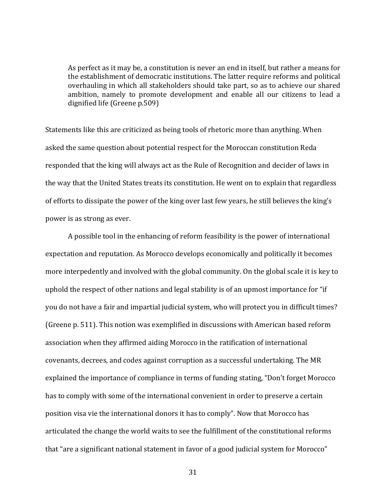As perfect as it may be, a constitution is never an end in itself, but rather a means for the establishment of democratic institutions. The latter require reforms and political overhauling in which all stakeholders should take part, so as to achieve our shared ambition, namely to promote development and enable all our citizens to lead a dignified life (Greene p.509)

Statements like this are criticized as being tools of rhetoric more than anything. When asked the same question about potential respect for the Moroccan constitution Reda responded that the king will always act as the Rule of Recognition and decider of laws in the way that the United States treats its constitution. He went on to explain that regardless of efforts to dissipate the power of the king over last few years, he still believes the king's power is as strong as ever.

A possible tool in the enhancing of reform feasibility is the power of international expectation and reputation. As Morocco develops economically and politically it becomes more interpedently and involved with the global community. On the global scale it is key to uphold the respect of other nations and legal stability is of an upmost importance for "if" you do not have a fair and impartial judicial system, who will protect you in difficult times? (Greene p. 511). This notion was exemplified in discussions with American based reform association when they affirmed aiding Morocco in the ratification of international covenants, decrees, and codes against corruption as a successful undertaking. The MR explained the importance of compliance in terms of funding stating, "Don't forget Morocco has to comply with some of the international convenient in order to preserve a certain position visa vie the international donors it has to comply". Now that Morocco has articulated the change the world waits to see the fulfillment of the constitutional reforms that "are a significant national statement in favor of a good judicial system for Morocco"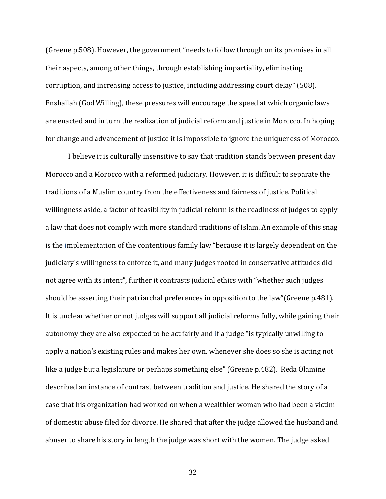(Greene p.508). However, the government "needs to follow through on its promises in all their aspects, among other things, through establishing impartiality, eliminating corruption, and increasing access to justice, including addressing court delay" (508). Enshallah (God Willing), these pressures will encourage the speed at which organic laws are enacted and in turn the realization of judicial reform and justice in Morocco. In hoping for change and advancement of justice it is impossible to ignore the uniqueness of Morocco.

I believe it is culturally insensitive to say that tradition stands between present day Morocco and a Morocco with a reformed judiciary. However, it is difficult to separate the traditions of a Muslim country from the effectiveness and fairness of justice. Political willingness aside, a factor of feasibility in judicial reform is the readiness of judges to apply a law that does not comply with more standard traditions of Islam. An example of this snag is the implementation of the contentious family law "because it is largely dependent on the judiciary's willingness to enforce it, and many judges rooted in conservative attitudes did not agree with its intent", further it contrasts judicial ethics with "whether such judges should be asserting their patriarchal preferences in opposition to the law"(Greene p.481). It is unclear whether or not judges will support all judicial reforms fully, while gaining their autonomy they are also expected to be act fairly and if a judge "is typically unwilling to apply a nation's existing rules and makes her own, whenever she does so she is acting not like a judge but a legislature or perhaps something else" (Greene p.482). Reda Olamine described an instance of contrast between tradition and justice. He shared the story of a case that his organization had worked on when a wealthier woman who had been a victim of domestic abuse filed for divorce. He shared that after the judge allowed the husband and abuser to share his story in length the judge was short with the women. The judge asked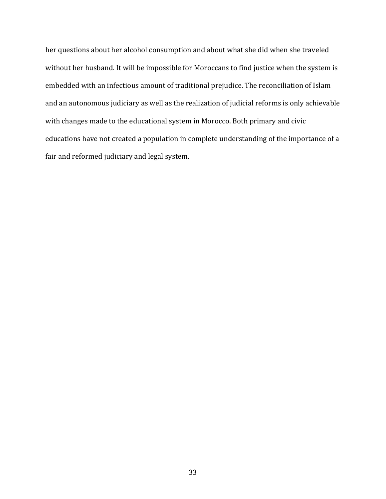her questions about her alcohol consumption and about what she did when she traveled without her husband. It will be impossible for Moroccans to find justice when the system is embedded with an infectious amount of traditional prejudice. The reconciliation of Islam and an autonomous judiciary as well as the realization of judicial reforms is only achievable with changes made to the educational system in Morocco. Both primary and civic educations have not created a population in complete understanding of the importance of a fair and reformed judiciary and legal system.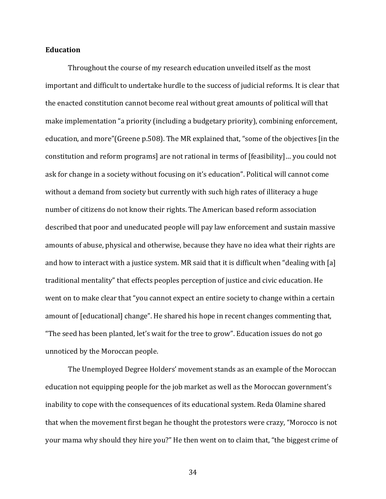#### **Education**

Throughout the course of my research education unveiled itself as the most important and difficult to undertake hurdle to the success of judicial reforms. It is clear that the enacted constitution cannot become real without great amounts of political will that make implementation "a priority (including a budgetary priority), combining enforcement, education, and more"(Greene p.508). The MR explained that, "some of the objectives [in the constitution and reform programs] are not rational in terms of [feasibility]... you could not ask for change in a society without focusing on it's education". Political will cannot come without a demand from society but currently with such high rates of illiteracy a huge number of citizens do not know their rights. The American based reform association described that poor and uneducated people will pay law enforcement and sustain massive amounts of abuse, physical and otherwise, because they have no idea what their rights are and how to interact with a justice system. MR said that it is difficult when "dealing with [a] traditional mentality" that effects peoples perception of justice and civic education. He went on to make clear that "you cannot expect an entire society to change within a certain amount of [educational] change". He shared his hope in recent changes commenting that, "The seed has been planted, let's wait for the tree to grow". Education issues do not go unnoticed by the Moroccan people.

The Unemployed Degree Holders' movement stands as an example of the Moroccan education not equipping people for the job market as well as the Moroccan government's inability to cope with the consequences of its educational system. Reda Olamine shared that when the movement first began he thought the protestors were crazy, "Morocco is not your mama why should they hire you?" He then went on to claim that, "the biggest crime of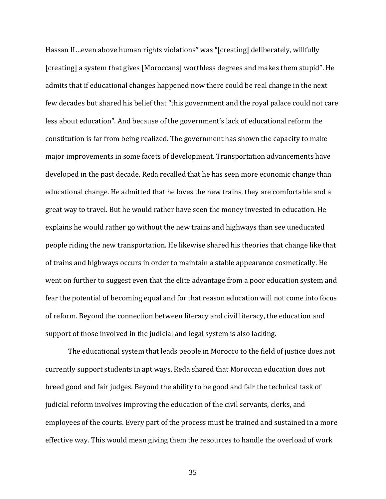Hassan II…even above human rights violations" was "[creating] deliberately, willfully [creating] a system that gives [Moroccans] worthless degrees and makes them stupid". He admits that if educational changes happened now there could be real change in the next few decades but shared his belief that "this government and the royal palace could not care less about education". And because of the government's lack of educational reform the constitution is far from being realized. The government has shown the capacity to make major improvements in some facets of development. Transportation advancements have developed in the past decade. Reda recalled that he has seen more economic change than educational change. He admitted that he loves the new trains, they are comfortable and a great way to travel. But he would rather have seen the money invested in education. He explains he would rather go without the new trains and highways than see uneducated people riding the new transportation. He likewise shared his theories that change like that of trains and highways occurs in order to maintain a stable appearance cosmetically. He went on further to suggest even that the elite advantage from a poor education system and fear the potential of becoming equal and for that reason education will not come into focus of reform. Beyond the connection between literacy and civil literacy, the education and support of those involved in the judicial and legal system is also lacking.

The educational system that leads people in Morocco to the field of justice does not currently support students in apt ways. Reda shared that Moroccan education does not breed good and fair judges. Beyond the ability to be good and fair the technical task of judicial reform involves improving the education of the civil servants, clerks, and employees of the courts. Every part of the process must be trained and sustained in a more effective way. This would mean giving them the resources to handle the overload of work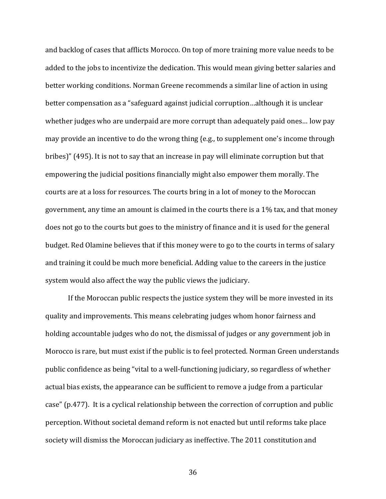and backlog of cases that afflicts Morocco. On top of more training more value needs to be added to the jobs to incentivize the dedication. This would mean giving better salaries and better working conditions. Norman Greene recommends a similar line of action in using better compensation as a "safeguard against judicial corruption...although it is unclear whether judges who are underpaid are more corrupt than adequately paid ones... low pay may provide an incentive to do the wrong thing {e.g., to supplement one's income through bribes)" (495). It is not to say that an increase in pay will eliminate corruption but that empowering the judicial positions financially might also empower them morally. The courts are at a loss for resources. The courts bring in a lot of money to the Moroccan government, any time an amount is claimed in the courts there is a  $1\%$  tax, and that money does not go to the courts but goes to the ministry of finance and it is used for the general budget. Red Olamine believes that if this money were to go to the courts in terms of salary and training it could be much more beneficial. Adding value to the careers in the justice system would also affect the way the public views the judiciary.

If the Moroccan public respects the justice system they will be more invested in its quality and improvements. This means celebrating judges whom honor fairness and holding accountable judges who do not, the dismissal of judges or any government job in Morocco is rare, but must exist if the public is to feel protected. Norman Green understands public confidence as being "vital to a well-functioning judiciary, so regardless of whether actual bias exists, the appearance can be sufficient to remove a judge from a particular case" (p.477). It is a cyclical relationship between the correction of corruption and public perception. Without societal demand reform is not enacted but until reforms take place society will dismiss the Moroccan judiciary as ineffective. The 2011 constitution and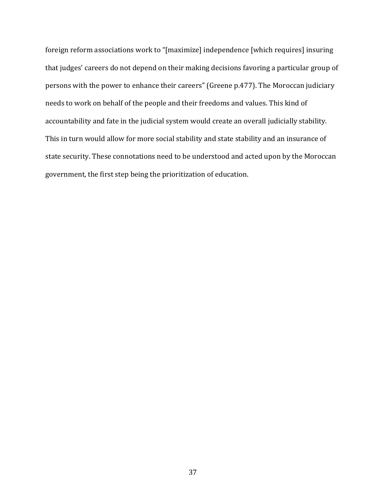foreign reform associations work to "[maximize] independence [which requires] insuring that judges' careers do not depend on their making decisions favoring a particular group of persons with the power to enhance their careers" (Greene p.477). The Moroccan judiciary needs to work on behalf of the people and their freedoms and values. This kind of accountability and fate in the judicial system would create an overall judicially stability. This in turn would allow for more social stability and state stability and an insurance of state security. These connotations need to be understood and acted upon by the Moroccan government, the first step being the prioritization of education.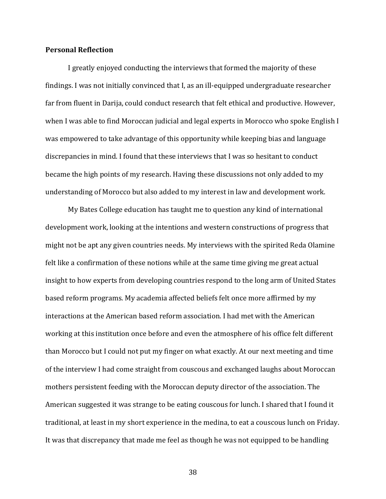#### **Personal'Reflection**

I greatly enjoyed conducting the interviews that formed the majority of these findings. I was not initially convinced that I, as an ill-equipped undergraduate researcher far from fluent in Darija, could conduct research that felt ethical and productive. However, when I was able to find Moroccan judicial and legal experts in Morocco who spoke English I was empowered to take advantage of this opportunity while keeping bias and language discrepancies in mind. I found that these interviews that I was so hesitant to conduct became the high points of my research. Having these discussions not only added to my understanding of Morocco but also added to my interest in law and development work.

My Bates College education has taught me to question any kind of international development work, looking at the intentions and western constructions of progress that might not be apt any given countries needs. My interviews with the spirited Reda Olamine felt like a confirmation of these notions while at the same time giving me great actual insight to how experts from developing countries respond to the long arm of United States based reform programs. My academia affected beliefs felt once more affirmed by my interactions at the American based reform association. I had met with the American working at this institution once before and even the atmosphere of his office felt different than Morocco but I could not put my finger on what exactly. At our next meeting and time of the interview I had come straight from couscous and exchanged laughs about Moroccan mothers persistent feeding with the Moroccan deputy director of the association. The American suggested it was strange to be eating couscous for lunch. I shared that I found it traditional, at least in my short experience in the medina, to eat a couscous lunch on Friday. It was that discrepancy that made me feel as though he was not equipped to be handling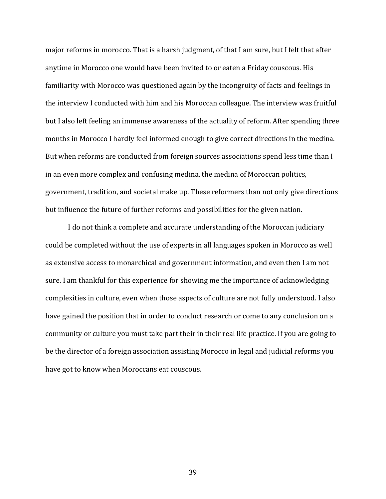major reforms in morocco. That is a harsh judgment, of that I am sure, but I felt that after anytime in Morocco one would have been invited to or eaten a Friday couscous. His familiarity with Morocco was questioned again by the incongruity of facts and feelings in the interview I conducted with him and his Moroccan colleague. The interview was fruitful but I also left feeling an immense awareness of the actuality of reform. After spending three months in Morocco I hardly feel informed enough to give correct directions in the medina. But when reforms are conducted from foreign sources associations spend less time than I in an even more complex and confusing medina, the medina of Moroccan politics, government, tradition, and societal make up. These reformers than not only give directions but influence the future of further reforms and possibilities for the given nation.

I do not think a complete and accurate understanding of the Moroccan judiciary could be completed without the use of experts in all languages spoken in Morocco as well as extensive access to monarchical and government information, and even then I am not sure. I am thankful for this experience for showing me the importance of acknowledging complexities in culture, even when those aspects of culture are not fully understood. I also have gained the position that in order to conduct research or come to any conclusion on a community or culture you must take part their in their real life practice. If you are going to be the director of a foreign association assisting Morocco in legal and judicial reforms you have got to know when Moroccans eat couscous.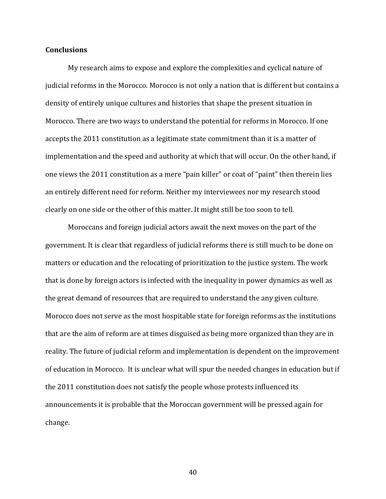#### **Conclusions**

My research aims to expose and explore the complexities and cyclical nature of judicial reforms in the Morocco. Morocco is not only a nation that is different but contains a density of entirely unique cultures and histories that shape the present situation in Morocco. There are two ways to understand the potential for reforms in Morocco. If one accepts the 2011 constitution as a legitimate state commitment than it is a matter of implementation and the speed and authority at which that will occur. On the other hand, if one views the 2011 constitution as a mere "pain killer" or coat of "paint" then therein lies an entirely different need for reform. Neither my interviewees nor my research stood clearly on one side or the other of this matter. It might still be too soon to tell.

Moroccans and foreign judicial actors await the next moves on the part of the government. It is clear that regardless of judicial reforms there is still much to be done on matters or education and the relocating of prioritization to the justice system. The work that is done by foreign actors is infected with the inequality in power dynamics as well as the great demand of resources that are required to understand the any given culture. Morocco does not serve as the most hospitable state for foreign reforms as the institutions that are the aim of reform are at times disguised as being more organized than they are in reality. The future of judicial reform and implementation is dependent on the improvement of education in Morocco. It is unclear what will spur the needed changes in education but if the 2011 constitution does not satisfy the people whose protests influenced its announcements it is probable that the Moroccan government will be pressed again for change.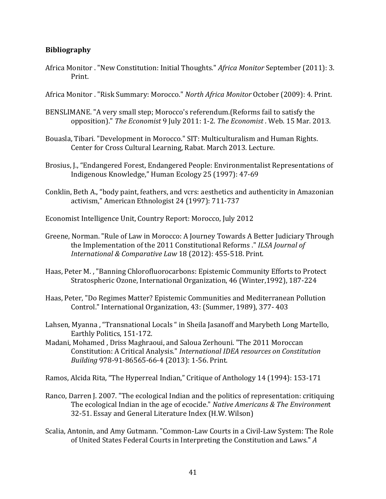#### **Bibliography**

- Africa Monitor . "New Constitution: Initial Thoughts." *Africa Monitor* September (2011): 3. Print.
- Africa Monitor . "Risk Summary: Morocco." *North Africa Monitor* October (2009): 4. Print.
- BENSLIMANE. "A very small step; Morocco's referendum.(Reforms fail to satisfy the opposition)." The *Economist* 9 July 2011: 1-2. *The Economist* . Web. 15 Mar. 2013.
- Bouasla, Tibari. "Development in Morocco." SIT: Multiculturalism and Human Rights. Center for Cross Cultural Learning, Rabat. March 2013. Lecture.
- Brosius, J., "Endangered Forest, Endangered People: Environmentalist Representations of Indigenous Knowledge," Human Ecology 25 (1997): 47-69
- Conklin, Beth A., "body paint, feathers, and vcrs: aesthetics and authenticity in Amazonian activism," American Ethnologist 24 (1997): 711-737

Economist Intelligence Unit, Country Report: Morocco, July 2012

- Greene, Norman. "Rule of Law in Morocco: A Journey Towards A Better Judiciary Through the Implementation of the 2011 Constitutional Reforms ." *ILSA Journal of International & Comparative Law 18 (2012): 455-518. Print.*
- Haas, Peter M., "Banning Chlorofluorocarbons: Epistemic Community Efforts to Protect Stratospheric Ozone, International Organization, 46 (Winter, 1992), 187-224
- Haas, Peter, "Do Regimes Matter? Epistemic Communities and Mediterranean Pollution Control." International Organization, 43: (Summer, 1989), 377-403
- Lahsen, Myanna, "Transnational Locals" in Sheila Jasanoff and Marybeth Long Martello, Earthly Politics, 151-172.
- Madani, Mohamed, Driss Maghraoui, and Saloua Zerhouni. "The 2011 Moroccan Constitution: A Critical Analysis." *International IDEA resources on Constitution Building* 978-91-86565-66-4 (2013): 1-56. Print.
- Ramos, Alcida Rita, "The Hyperreal Indian," Critique of Anthology 14 (1994): 153-171
- Ranco, Darren J. 2007. "The ecological Indian and the politics of representation: critiquing The ecological Indian in the age of ecocide." *Native Americans & The Environment* 32-51. Essay and General Literature Index (H.W. Wilson)
- Scalia, Antonin, and Amy Gutmann. "Common-Law Courts in a Civil-Law System: The Role of United States Federal Courts in Interpreting the Constitution and Laws." *A*